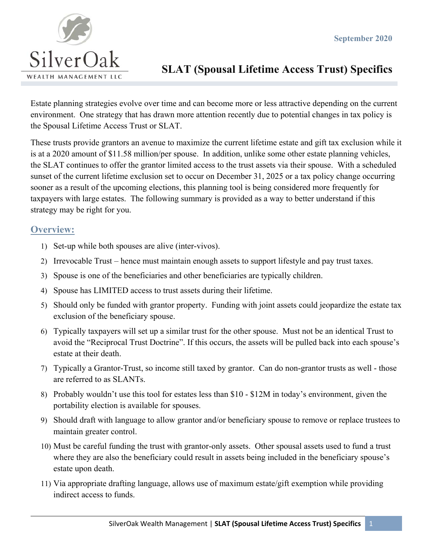

Estate planning strategies evolve over time and can become more or less attractive depending on the current environment. One strategy that has drawn more attention recently due to potential changes in tax policy is the Spousal Lifetime Access Trust or SLAT.

These trusts provide grantors an avenue to maximize the current lifetime estate and gift tax exclusion while it is at a 2020 amount of \$11.58 million/per spouse. In addition, unlike some other estate planning vehicles, the SLAT continues to offer the grantor limited access to the trust assets via their spouse. With a scheduled sunset of the current lifetime exclusion set to occur on December 31, 2025 or a tax policy change occurring sooner as a result of the upcoming elections, this planning tool is being considered more frequently for taxpayers with large estates. The following summary is provided as a way to better understand if this strategy may be right for you.

# **Overview:**

- 1) Set-up while both spouses are alive (inter-vivos).
- 2) Irrevocable Trust hence must maintain enough assets to support lifestyle and pay trust taxes.
- 3) Spouse is one of the beneficiaries and other beneficiaries are typically children.
- 4) Spouse has LIMITED access to trust assets during their lifetime.
- 5) Should only be funded with grantor property. Funding with joint assets could jeopardize the estate tax exclusion of the beneficiary spouse.
- 6) Typically taxpayers will set up a similar trust for the other spouse. Must not be an identical Trust to avoid the "Reciprocal Trust Doctrine". If this occurs, the assets will be pulled back into each spouse's estate at their death.
- 7) Typically a Grantor-Trust, so income still taxed by grantor. Can do non-grantor trusts as well those are referred to as SLANTs.
- 8) Probably wouldn't use this tool for estates less than \$10 \$12M in today's environment, given the portability election is available for spouses.
- 9) Should draft with language to allow grantor and/or beneficiary spouse to remove or replace trustees to maintain greater control.
- 10) Must be careful funding the trust with grantor-only assets. Other spousal assets used to fund a trust where they are also the beneficiary could result in assets being included in the beneficiary spouse's estate upon death.
- 11) Via appropriate drafting language, allows use of maximum estate/gift exemption while providing indirect access to funds.